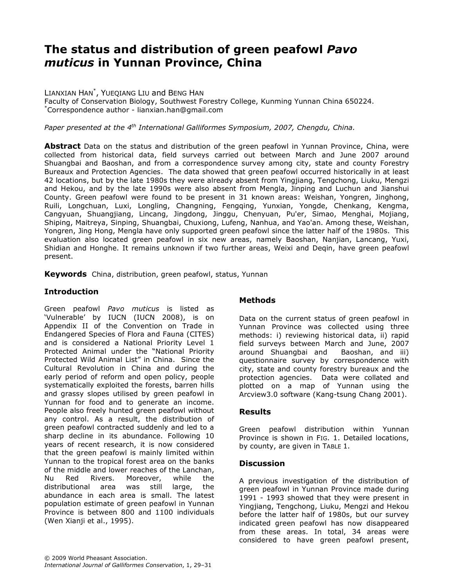# The status and distribution of green peafowl Pavo muticus in Yunnan Province, China

LIANXIAN HAN\* , YUEQIANG LIU and BENG HAN

Faculty of Conservation Biology, Southwest Forestry College, Kunming Yunnan China 650224. \*Correspondence author - lianxian.han@gmail.com

Paper presented at the  $4^{th}$  International Galliformes Symposium, 2007, Chengdu, China.

Abstract Data on the status and distribution of the green peafowl in Yunnan Province, China, were collected from historical data, field surveys carried out between March and June 2007 around Shuangbai and Baoshan, and from a correspondence survey among city, state and county Forestry Bureaux and Protection Agencies. The data showed that green peafowl occurred historically in at least 42 locations, but by the late 1980s they were already absent from Yingjiang, Tengchong, Liuku, Mengzi and Hekou, and by the late 1990s were also absent from Mengla, Jinping and Luchun and Jianshui County. Green peafowl were found to be present in 31 known areas: Weishan, Yongren, Jinghong, Ruili, Longchuan, Luxi, Longling, Changning, Fengqing, Yunxian, Yongde, Chenkang, Kengma, Cangyuan, Shuangjiang, Lincang, Jingdong, Jinggu, Chenyuan, Pu'er, Simao, Menghai, Mojiang, Shiping, Maitreya, Sinping, Shuangbai, Chuxiong, Lufeng, Nanhua, and Yao'an. Among these, Weishan, Yongren, Jing Hong, Mengla have only supported green peafowl since the latter half of the 1980s. This evaluation also located green peafowl in six new areas, namely Baoshan, Nanjian, Lancang, Yuxi, Shidian and Honghe. It remains unknown if two further areas, Weixi and Deqin, have green peafowl present.

Keywords China, distribution, green peafowl, status, Yunnan

## Introduction

Green peafowl Pavo muticus is listed as 'Vulnerable' by IUCN (IUCN 2008), is on Appendix II of the Convention on Trade in Endangered Species of Flora and Fauna (CITES) and is considered a National Priority Level 1 Protected Animal under the "National Priority Protected Wild Animal List" in China. Since the Cultural Revolution in China and during the early period of reform and open policy, people systematically exploited the forests, barren hills and grassy slopes utilised by green peafowl in Yunnan for food and to generate an income. People also freely hunted green peafowl without any control. As a result, the distribution of green peafowl contracted suddenly and led to a sharp decline in its abundance. Following 10 years of recent research, it is now considered that the green peafowl is mainly limited within Yunnan to the tropical forest area on the banks of the middle and lower reaches of the Lanchan, Nu Red Rivers. Moreover, while the distributional area was still large, the abundance in each area is small. The latest population estimate of green peafowl in Yunnan Province is between 800 and 1100 individuals (Wen Xianji et al., 1995).

## Methods

Data on the current status of green peafowl in Yunnan Province was collected using three methods: i) reviewing historical data, ii) rapid field surveys between March and June, 2007 around Shuangbai and Baoshan, and iii) questionnaire survey by correspondence with city, state and county forestry bureaux and the protection agencies. Data were collated and plotted on a map of Yunnan using the Arcview3.0 software (Kang-tsung Chang 2001).

### Results

Green peafowl distribution within Yunnan Province is shown in FIG. 1. Detailed locations, by county, are given in TABLE 1.

### **Discussion**

A previous investigation of the distribution of green peafowl in Yunnan Province made during 1991 - 1993 showed that they were present in Yingjiang, Tengchong, Liuku, Mengzi and Hekou before the latter half of 1980s, but our survey indicated green peafowl has now disappeared from these areas. In total, 34 areas were considered to have green peafowl present,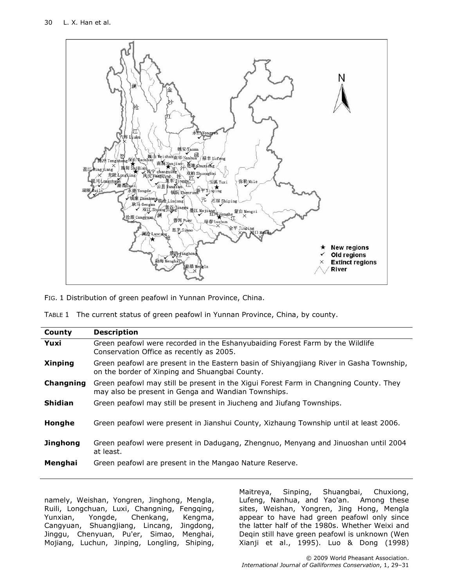

FIG. 1 Distribution of green peafowl in Yunnan Province, China.

|  | TABLE 1 The current status of green peafowl in Yunnan Province, China, by county. |  |  |  |  |  |  |
|--|-----------------------------------------------------------------------------------|--|--|--|--|--|--|
|--|-----------------------------------------------------------------------------------|--|--|--|--|--|--|

| County          | <b>Description</b>                                                                                                                           |  |  |
|-----------------|----------------------------------------------------------------------------------------------------------------------------------------------|--|--|
| Yuxi            | Green peafowl were recorded in the Eshanyubaiding Forest Farm by the Wildlife<br>Conservation Office as recently as 2005.                    |  |  |
| <b>Xinping</b>  | Green peafowl are present in the Eastern basin of Shiyangjiang River in Gasha Township,<br>on the border of Xinping and Shuangbai County.    |  |  |
| Changning       | Green peafowl may still be present in the Xigui Forest Farm in Changning County. They<br>may also be present in Genga and Wandian Townships. |  |  |
| <b>Shidian</b>  | Green peafowl may still be present in Jiucheng and Jiufang Townships.                                                                        |  |  |
| Honghe          | Green peafowl were present in Jianshui County, Xizhaung Township until at least 2006.                                                        |  |  |
| <b>Jinghong</b> | Green peafowl were present in Dadugang, Zhengnuo, Menyang and Jinuoshan until 2004<br>at least.                                              |  |  |
| Menghai         | Green peafowl are present in the Mangao Nature Reserve.                                                                                      |  |  |

namely, Weishan, Yongren, Jinghong, Mengla, Ruili, Longchuan, Luxi, Changning, Fengqing, Yunxian, Yongde, Chenkang, Kengma, Cangyuan, Shuangjiang, Lincang, Jingdong, Jinggu, Chenyuan, Pu'er, Simao, Menghai, Mojiang, Luchun, Jinping, Longling, Shiping, Maitreya, Sinping, Shuangbai, Chuxiong, Lufeng, Nanhua, and Yao'an. Among these sites, Weishan, Yongren, Jing Hong, Mengla appear to have had green peafowl only since the latter half of the 1980s. Whether Weixi and Deqin still have green peafowl is unknown (Wen Xianji et al., 1995). Luo & Dong (1998)